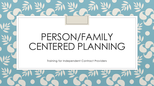# PERSON/FAMILY CENTERED PLANNING

Training for Independent Contract Providers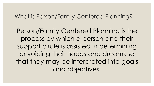#### What is Person/Family Centered Planning?

Person/Family Centered Planning is the process by which a person and their support circle is assisted in determining or voicing their hopes and dreams so that they may be interpreted into goals and objectives.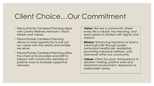## Client Choice…Our Commitment

- Person/Family Centered Planning aligns with Centra Wellness Network's Vision, Mission and Values.
- Person/Family Centered Planning allows us more opportunity to live out our values with the clients and families we serve.
- Person/Family Centered Planning offers the chance for providers and staff to interact with community members in positive ways to increase supportive networks.
- **Vision:** *We see a community where every life is valued, has meaning, and each person is treated with dignity and respect.*
- **Mission**: *Enhancing freedoms to lead a meaningful life through quality behavioral healthcare, leadership, promoting individual wellness, and teamwork within our community.*
- **Values**: *Client focused, transparency in decision making, positive work and treatment environment, responsive to stakeholder needs.*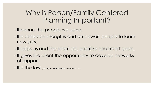### Why is Person/Family Centered Planning Important?

◦It honors the people we serve.

- ◦It is based on strengths and empowers people to learn new skills.
- ◦It helps us and the client set, prioritize and meet goals.
- ◦It gives the client the opportunity to develop networks of support.

◦It is the law (Michigan Mental Health Code 330.1712)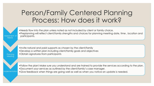### Person/Family Centered Planning Process: How does it work?

- Needs flow into the plan unless noted as not included by client or family choice.
- •Preplanning will reflect client/family strengths and choices for planning meeting date, time , location and participants.
	- •Invite natural and paid supports as chosen by the client/family
	- •Develop a written plan including client/family goals and objectives
	- •Obtain signatures from participants

Assessment Needs

> **Planning Meeting**

- •Follow the plan! Make sure you understand and are trained to provide the services according to the plan.
- •Document your services as outlined by the client/family's case manager.
- **Implementation** •Give feedback when things are going well as well as when you notice an update is needed.